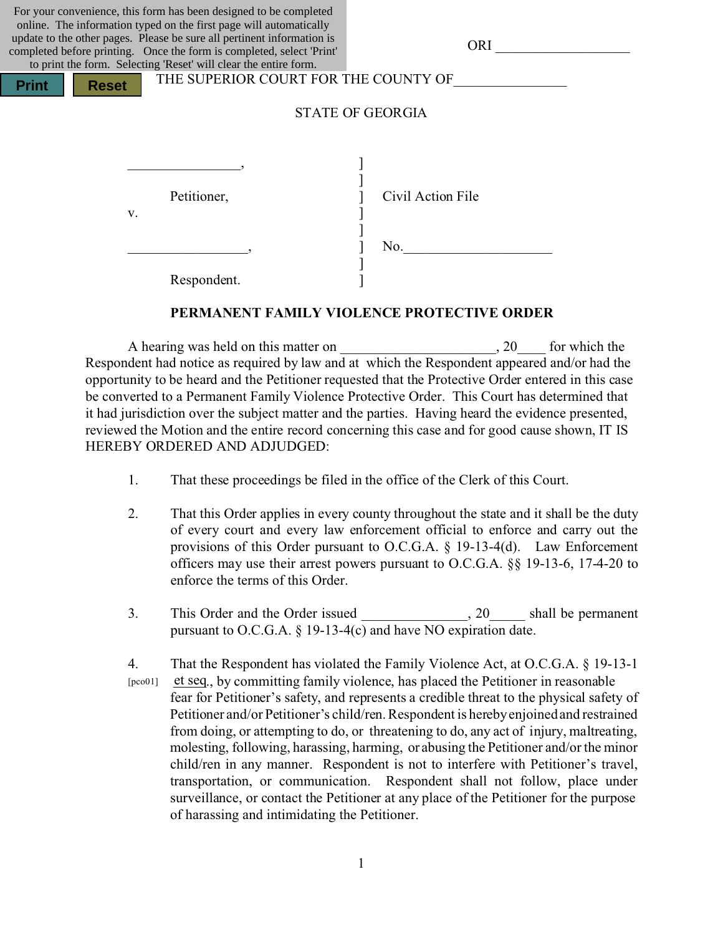For your convenience, this form has been designed to be completed online. The information typed on the first page will automatically update to the other pages. Please be sure all pertinent information is completed before printing. Once the form is completed, select 'Print' to print the form. Selecting 'Reset' will clear the entire form.

**Print H** Reset

THE SUPERIOR COURT FOR THE COUNTY OF

|    | Petitioner, | Civil Action File |
|----|-------------|-------------------|
| V. |             |                   |
|    |             |                   |
|    |             | No.               |
|    |             |                   |
|    | Respondent. |                   |

#### **PERMANENT FAMILY VIOLENCE PROTECTIVE ORDER**

A hearing was held on this matter on  $\qquad \qquad$  . 20 for which the Respondent had notice as required by law and at which the Respondent appeared and/or had the opportunity to be heard and the Petitioner requested that the Protective Order entered in this case be converted to a Permanent Family Violence Protective Order. This Court has determined that it had jurisdiction over the subject matter and the parties. Having heard the evidence presented, reviewed the Motion and the entire record concerning this case and for good cause shown, IT IS HEREBY ORDERED AND ADJUDGED:

- 1. That these proceedings be filed in the office of the Clerk of this Court.
- 2. That this Order applies in every county throughout the state and it shall be the duty of every court and every law enforcement official to enforce and carry out the provisions of this Order pursuant to O.C.G.A. § 19-13-4(d). Law Enforcement officers may use their arrest powers pursuant to O.C.G.A. §§ 19-13-6, 17-4-20 to enforce the terms of this Order.
- 3. This Order and the Order issued , 20 shall be permanent pursuant to O.C.G.A. § 19-13-4(c) and have NO expiration date.
- 4. That the Respondent has violated the Family Violence Act, at O.C.G.A. § 19-13-1 [pco01] et seq., by committing family violence, has placed the Petitioner in reasonable fear for Petitioner's safety, and represents a credible threat to the physical safety of Petitioner and/or Petitioner's child/ren. Respondent is hereby enjoined and restrained from doing, or attempting to do, or threatening to do, any act of injury, maltreating, molesting, following, harassing, harming, or abusing the Petitioner and/or the minor child/ren in any manner. Respondent is not to interfere with Petitioner's travel, transportation, or communication. Respondent shall not follow, place under surveillance, or contact the Petitioner at any place of the Petitioner for the purpose of harassing and intimidating the Petitioner.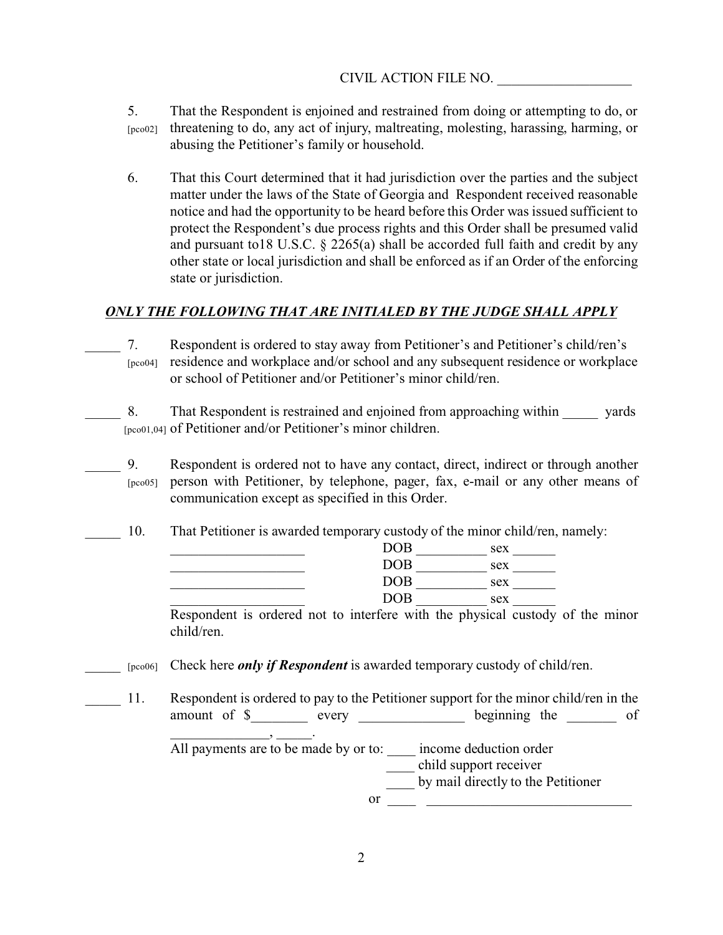- 5. That the Respondent is enjoined and restrained from doing or attempting to do, or [pco02] threatening to do, any act of injury, maltreating, molesting, harassing, harming, or abusing the Petitioner's family or household.
- 6. That this Court determined that it had jurisdiction over the parties and the subject matter under the laws of the State of Georgia and Respondent received reasonable notice and had the opportunity to be heard before this Order was issued sufficient to protect the Respondent's due process rights and this Order shall be presumed valid and pursuant to18 U.S.C. § 2265(a) shall be accorded full faith and credit by any other state or local jurisdiction and shall be enforced as if an Order of the enforcing state or jurisdiction.

## *ONLY THE FOLLOWING THAT ARE INITIALED BY THE JUDGE SHALL APPLY*

- \_\_\_\_\_ 7. Respondent is ordered to stay away from Petitioner's and Petitioner's child/ren's [pco04] residence and workplace and/or school and any subsequent residence or workplace or school of Petitioner and/or Petitioner's minor child/ren.
- 8. That Respondent is restrained and enjoined from approaching within yards [pco01,04] of Petitioner and/or Petitioner's minor children.
	- \_\_\_\_\_ 9. Respondent is ordered not to have any contact, direct, indirect or through another [pco05] person with Petitioner, by telephone, pager, fax, e-mail or any other means of communication except as specified in this Order.
- 10. That Petitioner is awarded temporary custody of the minor child/ren, namely:

| $\rm{DOB}$ | sex |
|------------|-----|
| <b>DOB</b> | sex |
| <b>DOB</b> | sex |
| $\rm{DOB}$ | sex |

Respondent is ordered not to interfere with the physical custody of the minor child/ren.

- \_\_\_\_\_ [pco06] Check here *only if Respondent* is awarded temporary custody of child/ren.
- 11. Respondent is ordered to pay to the Petitioner support for the minor child/ren in the amount of \$\_\_\_\_\_\_\_\_ every \_\_\_\_\_\_\_\_\_\_\_\_\_\_ beginning the \_\_\_\_\_\_\_ of \_\_\_\_\_\_\_\_\_\_\_\_\_\_, \_\_\_\_\_.

All payments are to be made by or to:  $\frac{1}{2}$  income deduction order \_\_\_\_ child support receiver by mail directly to the Petitioner

or  $\overline{\phantom{a}}$   $\overline{\phantom{a}}$   $\phantom{a}$   $\phantom{a}$   $\phantom{a}$   $\phantom{a}$   $\phantom{a}$   $\phantom{a}$   $\phantom{a}$   $\phantom{a}$   $\phantom{a}$   $\phantom{a}$   $\phantom{a}$   $\phantom{a}$   $\phantom{a}$   $\phantom{a}$   $\phantom{a}$   $\phantom{a}$   $\phantom{a}$   $\phantom{a}$   $\phantom{a}$   $\phantom{a}$   $\phantom{a}$   $\phantom{$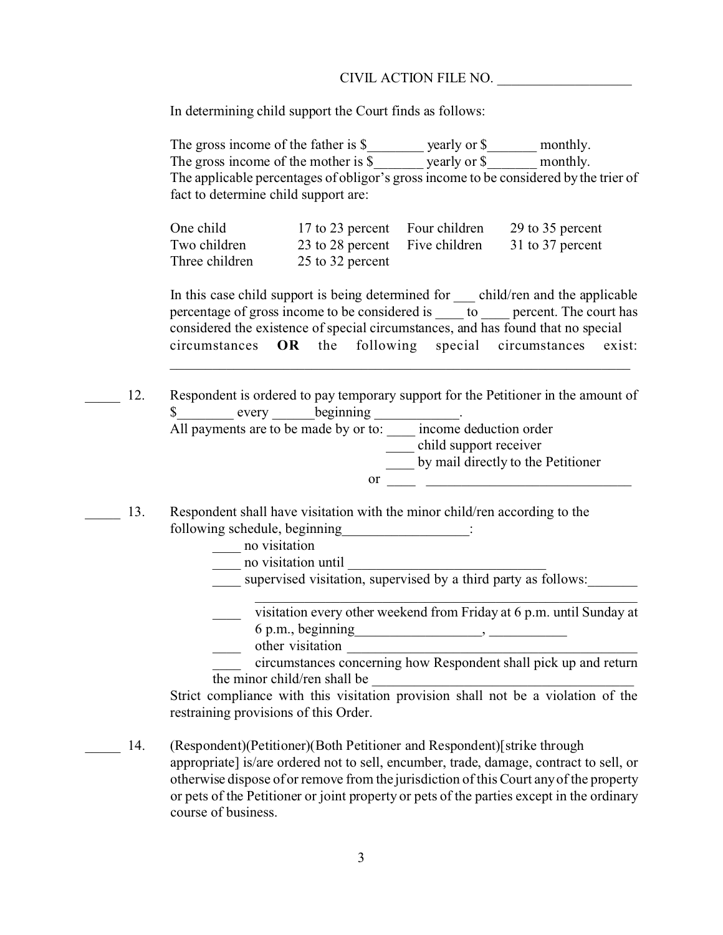#### CIVIL ACTION FILE NO.

In determining child support the Court finds as follows:

The gross income of the father is \$\_\_\_\_\_\_\_\_ yearly or \$\_\_\_\_\_\_\_\_ monthly. The gross income of the mother is \$ yearly or \$ monthly. The applicable percentages of obligor's gross income to be considered by the trier of fact to determine child support are:

| One child      | 17 to 23 percent Four children | 29 to 35 percent |
|----------------|--------------------------------|------------------|
| Two children   | 23 to 28 percent Five children | 31 to 37 percent |
| Three children | 25 to 32 percent               |                  |

In this case child support is being determined for child/ren and the applicable percentage of gross income to be considered is  $\qquad \qquad$  to  $\qquad \qquad$  percent. The court has considered the existence of special circumstances, and has found that no special circumstances **OR** the following special circumstances exist:

 $\_$  , and the set of the set of the set of the set of the set of the set of the set of the set of the set of the set of the set of the set of the set of the set of the set of the set of the set of the set of the set of th

- 12. Respondent is ordered to pay temporary support for the Petitioner in the amount of \$ every beginning . All payments are to be made by or to: \_\_\_\_\_ income deduction order \_\_\_\_ child support receiver \_\_\_\_ by mail directly to the Petitioner  $or \fbox{1}$
- 13. Respondent shall have visitation with the minor child/ren according to the following schedule, beginning  $\cdots$ 
	- \_\_\_\_ no visitation
	- $\frac{1}{\sqrt{2}}$  no visitation until
	- supervised visitation, supervised by a third party as follows:

\_\_\_\_ visitation every other weekend from Friday at 6 p.m. until Sunday at  $6$  p.m., beginning  $\qquad \qquad$ 

\_\_\_\_\_\_\_\_\_\_\_\_\_\_\_\_\_\_\_\_\_\_\_\_\_\_\_\_\_\_\_\_\_\_\_\_\_\_\_\_\_\_\_\_\_\_\_\_\_\_\_\_\_\_

other visitation

\_\_\_\_ circumstances concerning how Respondent shall pick up and return the minor child/ren shall be

Strict compliance with this visitation provision shall not be a violation of the restraining provisions of this Order.

\_\_\_\_\_ 14. (Respondent)(Petitioner)(Both Petitioner and Respondent)[strike through appropriate] is/are ordered not to sell, encumber, trade, damage, contract to sell, or otherwise dispose of or remove from the jurisdiction of this Court any of the property or pets of the Petitioner or joint property or pets of the parties except in the ordinary course of business.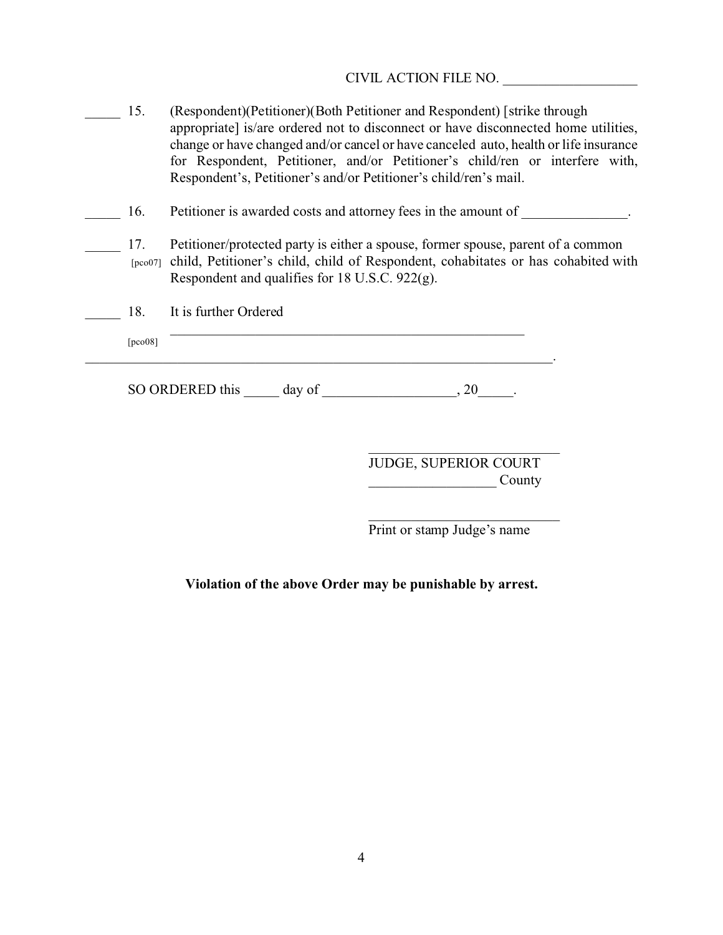CIVIL ACTION FILE NO. \_\_\_\_\_\_\_\_\_\_\_\_\_\_\_\_\_\_\_

| 15.     | (Respondent) (Petitioner) (Both Petitioner and Respondent) [strike through<br>appropriate] is/are ordered not to disconnect or have disconnected home utilities,<br>change or have changed and/or cancel or have canceled auto, health or life insurance<br>for Respondent, Petitioner, and/or Petitioner's child/ren or interfere with,<br>Respondent's, Petitioner's and/or Petitioner's child/ren's mail. |
|---------|--------------------------------------------------------------------------------------------------------------------------------------------------------------------------------------------------------------------------------------------------------------------------------------------------------------------------------------------------------------------------------------------------------------|
| 16.     | Petitioner is awarded costs and attorney fees in the amount of                                                                                                                                                                                                                                                                                                                                               |
| 17.     | Petitioner/protected party is either a spouse, former spouse, parent of a common<br>[pco07] child, Petitioner's child, child of Respondent, cohabitates or has cohabited with<br>Respondent and qualifies for 18 U.S.C. 922(g).                                                                                                                                                                              |
| 18.     | It is further Ordered                                                                                                                                                                                                                                                                                                                                                                                        |
| [pco08] |                                                                                                                                                                                                                                                                                                                                                                                                              |
|         | SO ORDERED this day of<br>.20                                                                                                                                                                                                                                                                                                                                                                                |

JUDGE, SUPERIOR COURT  $\frac{1}{2}$  County

\_\_\_\_\_\_\_\_\_\_\_\_\_\_\_\_\_\_\_\_\_\_\_\_\_\_\_

Print or stamp Judge's name

**Violation of the above Order may be punishable by arrest.**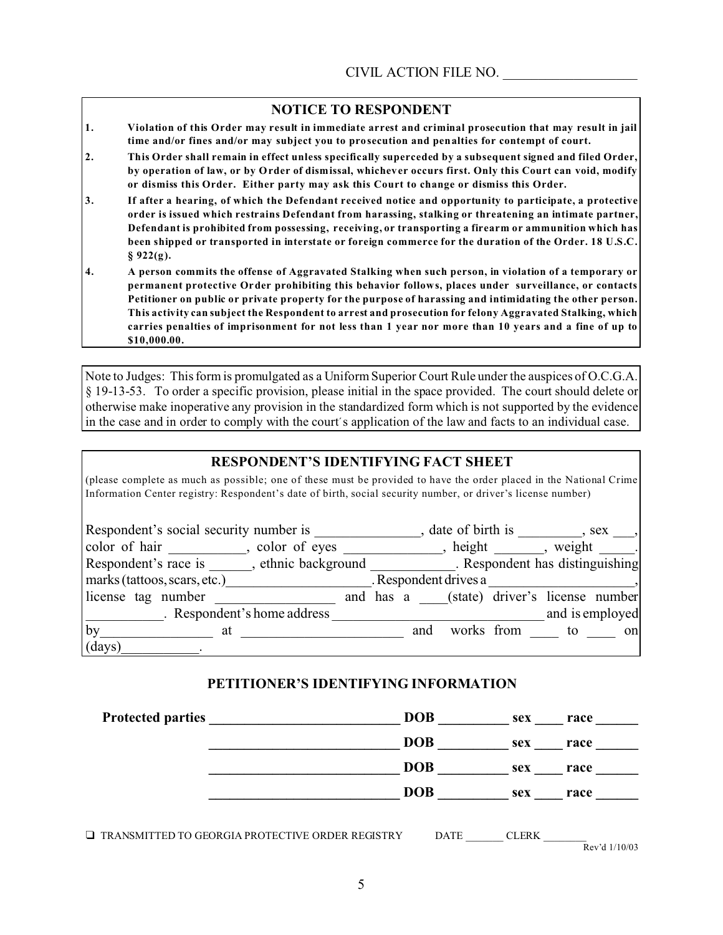#### **NOTICE TO RESPONDENT**

- **1. Violation of this Order may result in immediate arrest and criminal prosecution that may result in jail time and/or fines and/or may subject you to prosecution and penalties for contempt of court.**
- **2. This Order shall remain in effect unless specifically superceded by a subsequent signed and filed Order, by operation of law, or by Order of dismissal, whichever occurs first. Only this Court can void, modify or dismiss this Order. Either party may ask this Court to change or dismiss this Order.**
- **3. If after a hearing, of which the Defendant received notice and opportunity to participate, a protective order is issued which restrains Defendant from harassing, stalking or threatening an intimate partner, Defendant is prohibited from possessing, receiving, or transporting a firearm or ammunition which has been shipped or transported in interstate or foreign commerce for the duration of the Order. 18 U.S.C. § 922(g).**
- **4. A person commits the offense of Aggravated Stalking when such person, in violation of a temporary or permanent protective Order prohibiting this behavior follows, places under surveillance, or contacts Petitioner on public or private property for the purpose of harassing and intimidating the other person. This activity can subject the Respondent to arrest and prosecution for felony Aggravated Stalking, which carries penalties of imprisonment for not less than 1 year nor more than 10 years and a fine of up to \$10,000.00.**

Note to Judges: This form is promulgated as a Uniform Superior Court Rule under the auspices of O.C.G.A. § 19-13-53. To order a specific provision, please initial in the space provided. The court should delete or otherwise make inoperative any provision in the standardized form which is not supported by the evidence in the case and in order to comply with the court's application of the law and facts to an individual case.

### **RESPONDENT'S IDENTIFYING FACT SHEET**

(please complete as much as possible; one of these must be provided to have the order placed in the National Crime Information Center registry: Respondent's date of birth, social security number, or driver's license number)

| Respondent's social security number is                                   |                             |  | date of birth is |     |                       |                                           | $,$ sex $,$     |
|--------------------------------------------------------------------------|-----------------------------|--|------------------|-----|-----------------------|-------------------------------------------|-----------------|
| color of hair, color of eyes                                             |                             |  |                  |     |                       | height, weight.                           |                 |
| Respondent's race is , ethnic background . Respondent has distinguishing |                             |  |                  |     |                       |                                           |                 |
| marks (tattoos, scars, etc.)                                             |                             |  |                  |     | . Respondent drives a |                                           |                 |
| license tag number                                                       |                             |  |                  |     |                       | and has a (state) driver's license number |                 |
|                                                                          | . Respondent's home address |  |                  |     |                       |                                           | and is employed |
| by<br>at                                                                 |                             |  |                  | and |                       | works from to                             | on              |
| (days)                                                                   |                             |  |                  |     |                       |                                           |                 |

### **PETITIONER'S IDENTIFYING INFORMATION**

| <b>Protected parties</b>                                   | <b>DOB</b>  | sex          | race            |
|------------------------------------------------------------|-------------|--------------|-----------------|
|                                                            | <b>DOB</b>  | sex          | race            |
|                                                            | <b>DOB</b>  | sex          | race            |
|                                                            | <b>DOB</b>  | sex          | race            |
| $\square$ TRANSMITTED TO GEORGIA PROTECTIVE ORDER REGISTRY | <b>DATE</b> | <b>CLERK</b> | Rev'd $1/10/03$ |

5